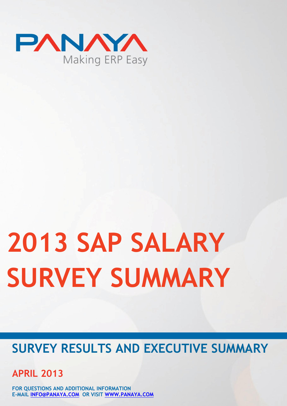

# **2013 SAP SALARY SURVEY SUMMARY**

### **SURVEY RESULTS AND EXECUTIVE SUMMARY**

**APRIL 2013**

**FOR QUESTIONS AND ADDITIONAL INFORMATION E-MAIL [INFO@PANAYA.COM](mailto:info@panaya.com) OR VISIT [WWW.PANAYA.COM](http://www.panaya.com/)**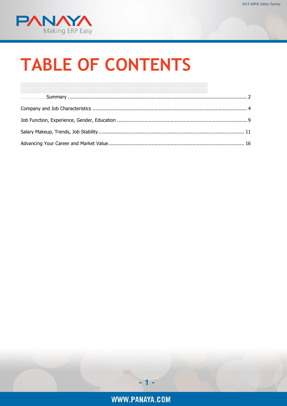

# **TABLE OF CONTENTS**

<span id="page-1-0"></span>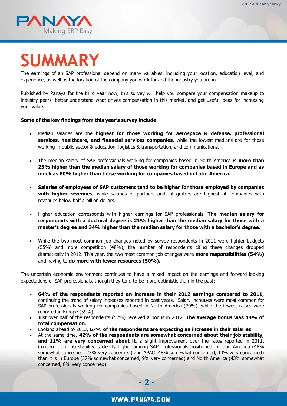

# **SUMMARY**

The earnings of an SAP professional depend on many variables, including your location, education level, and experience, as well as the location of the company you work for and the industry you are in.

Published by Panaya for the third year now, this survey will help you compare your compensation makeup to industry peers, better understand what drives compensation in this market, and get useful ideas for increasing your value.

#### **Some of the key findings from this year's survey include:**

- Median salaries are the **highest for those working for aerospace & defense, professional services, healthcare, and financial services companies**, while the lowest medians are for those working in public sector & education, logistics & transportation, and communications.
- The median salary of SAP professionals working for companies based in North America is **more than 25% higher than the median salary of those working for companies based in Europe and as much as 80% higher than those working for companies based in Latin America.**
- **Salaries of employees of SAP customers tend to be higher for those employed by companies with higher revenues**, while salaries of partners and integrators are highest at companies with revenues below half a billion dollars.
- Higher education corresponds with higher earnings for SAP professionals. **The median salary for respondents with a doctoral degree is 21% higher than the median salary for those with a master's degree and 34% higher than the median salary for those with a bachelor's degree**.
- While the two most common job changes noted by survey respondents in 2011 were tighter budgets (55%) and more competition (48%), the number of respondents citing these changes dropped dramatically in 2012. This year, the two most common job changes were **more responsibilities (54%)** and having to **do more with fewer resources (50%).**

The uncertain economic environment continues to have a mixed impact on the earnings and forward-looking expectations of SAP professionals, though they tend to be more optimistic than in the past:

- **64% of the respondents reported an increase in their 2012 earnings compared to 2011,**  continuing the trend of salary increases reported in past years**.** Salary increases were most common for SAP professionals working for companies based in North America (70%), while the fewest raises were reported in Europe (59%).
- Just over half of the respondents (52%) received a bonus in 2012. **The average bonus was 14% of total compensation**.
- Looking ahead to 2013, **67% of the respondents are expecting an increase in their salaries**.
- At the same time, **42% of the respondents are somewhat concerned about their job stability, and 11% are very concerned about it,** a slight improvement over the rates reported in 2011**.**  Concern over job stability is clearly higher among SAP professionals positioned in Latin America (48% somewhat concerned, 23% very concerned) and APAC (48% somewhat concerned, 13% very concerned) than it is in Europe (37% somewhat concerned, 9% very concerned) and North America (43% somewhat concerned, 8% very concerned).

**- 2 -**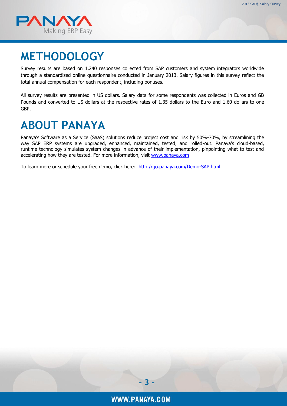

### **METHODOLOGY**

Survey results are based on 1,240 responses collected from SAP customers and system integrators worldwide through a standardized online questionnaire conducted in January 2013. Salary figures in this survey reflect the total annual compensation for each respondent, including bonuses.

All survey results are presented in US dollars. Salary data for some respondents was collected in Euros and GB Pounds and converted to US dollars at the respective rates of 1.35 dollars to the Euro and 1.60 dollars to one GBP.

### **ABOUT PANAYA**

<span id="page-3-0"></span>Panaya's Software as a Service (SaaS) solutions reduce project cost and risk by 50%-70%, by streamlining the way SAP ERP systems are upgraded, enhanced, maintained, tested, and rolled-out. Panaya's cloud-based, runtime technology simulates system changes in advance of their implementation, pinpointing what to test and accelerating how they are tested. For more information, visit [www.panaya.com](http://www.panaya.com/)

To learn more or schedule your free demo, click here: <http://go.panaya.com/Demo-SAP.html>

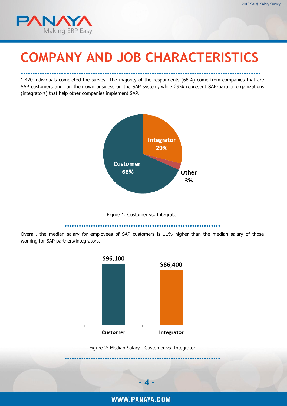

# **COMPANY AND JOB CHARACTERISTICS**

……………….………………………………………………………………………. 1,420 individuals completed the survey. The majority of the respondents (68%) come from companies that are SAP customers and run their own business on the SAP system, while 29% represent SAP-partner organizations (integrators) that help other companies implement SAP.



Figure 1: Customer vs. Integrator

…………………………………………………………

<span id="page-4-0"></span>Overall, the median salary for employees of SAP customers is 11% higher than the median salary of those working for SAP partners/integrators.



<span id="page-4-1"></span>

WWW.PANAYA.COM

**- 4 -**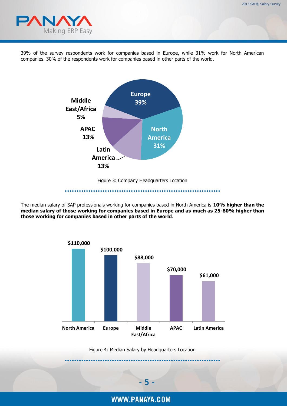

39% of the survey respondents work for companies based in Europe, while 31% work for North American companies. 30% of the respondents work for companies based in other parts of the world.



Figure 3: Company Headquarters Location …………………………………………………………

<span id="page-5-0"></span>The median salary of SAP professionals working for companies based in North America is **10% higher than the** 

**median salary of those working for companies based in Europe and as much as 25-80% higher than those working for companies based in other parts of the world**.



<span id="page-5-1"></span>Figure 4: Median Salary by Headquarters Location …………………………………………………………

WWW.PANAYA.COM

**- 5 -**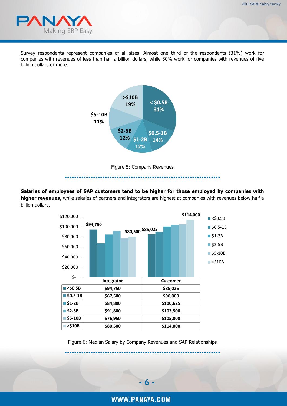

Survey respondents represent companies of all sizes. Almost one third of the respondents (31%) work for companies with revenues of less than half a billion dollars, while 30% work for companies with revenues of five billion dollars or more.





<span id="page-6-0"></span>**Salaries of employees of SAP customers tend to be higher for those employed by companies with higher revenues**, while salaries of partners and integrators are highest at companies with revenues below half a billion dollars.



<span id="page-6-1"></span>Figure 6: Median Salary by Company Revenues and SAP Relationships …………………………………………………………

WWW.PANAYA.COM

**- 6 -**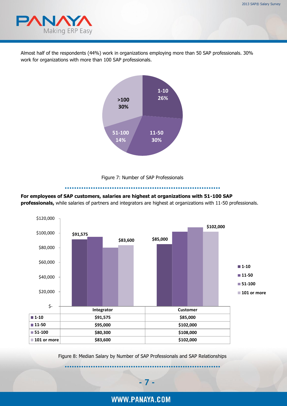

Almost half of the respondents (44%) work in organizations employing more than 50 SAP professionals. 30% work for organizations with more than 100 SAP professionals.



#### Figure 7: Number of SAP Professionals

…………………………………………………………

#### <span id="page-7-0"></span>**For employees of SAP customers, salaries are highest at organizations with 51-100 SAP**

**professionals,** while salaries of partners and integrators are highest at organizations with 11-50 professionals.



<span id="page-7-1"></span>Figure 8: Median Salary by Number of SAP Professionals and SAP Relationships

…………………………………………………………

**- 7 -**

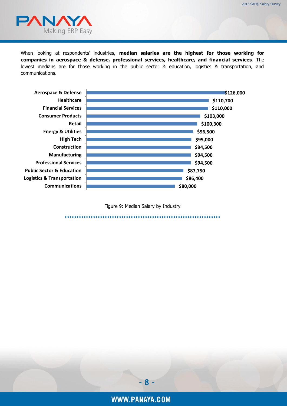

When looking at respondents' industries, **median salaries are the highest for those working for companies in aerospace & defense, professional services, healthcare, and financial services**. The lowest medians are for those working in the public sector & education, logistics & transportation, and communications.



<span id="page-8-0"></span>Figure 9: Median Salary by Industry …………………………………………………………

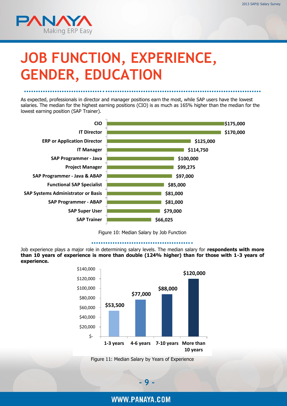

# <span id="page-9-0"></span>**JOB FUNCTION, EXPERIENCE, GENDER, EDUCATION**

As expected, professionals in director and manager positions earn the most, while SAP users have the lowest salaries. The median for the highest earning positions (CIO) is as much as 165% higher than the median for the lowest earning position (SAP Trainer).

…………………………….…………………………………………………………



Figure 10: Median Salary by Job Function

#### …………………………………….

<span id="page-9-1"></span>Job experience plays a major role in determining salary levels. The median salary for **respondents with more than 10 years of experience is more than double (124% higher) than for those with 1-3 years of experience.** 



<span id="page-9-2"></span>Figure 11: Median Salary by Years of Experience

**- 9 -**

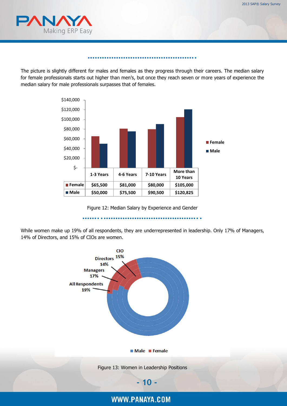

The picture is slightly different for males and females as they progress through their careers. The median salary for female professionals starts out higher than men's, but once they reach seven or more years of experience the median salary for male professionals surpasses that of females.

……………………………………….



Figure 12: Median Salary by Experience and Gender

……..…………………………………..

<span id="page-10-0"></span>While women make up 19% of all respondents, they are underrepresented in leadership. Only 17% of Managers, 14% of Directors, and 15% of CIOs are women.

<span id="page-10-1"></span>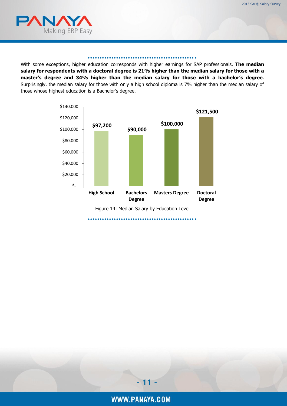

#### ……………………………………….

<span id="page-11-0"></span>With some exceptions, higher education corresponds with higher earnings for SAP professionals. **The median salary for respondents with a doctoral degree is 21% higher than the median salary for those with a master's degree and 34% higher than the median salary for those with a bachelor's degree**. Surprisingly, the median salary for those with only a high school diploma is 7% higher than the median salary of those whose highest education is a Bachelor's degree.

<span id="page-11-1"></span>

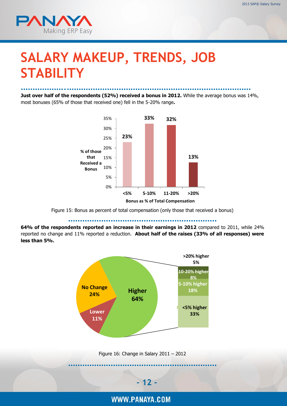

## **SALARY MAKEUP, TRENDS, JOB STABILITY**

……………….…………………………………………………………………… **Just over half of the respondents (52%) received a bonus in 2012.** While the average bonus was 14%, most bonuses (65% of those that received one) fell in the 5-20% range**.**



Figure 15: Bonus as percent of total compensation (only those that received a bonus)

………………………………………………………

<span id="page-12-0"></span>**64% of the respondents reported an increase in their earnings in 2012** compared to 2011, while 24% reported no change and 11% reported a reduction. **About half of the raises (33% of all responses) were less than 5%.**



<span id="page-12-1"></span>Figure 16: Change in Salary 2011 – 2012 ………………………………………………………



WWW.PANAYA.COM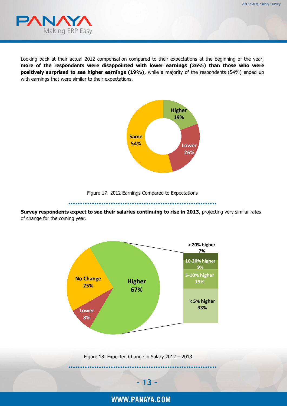

Looking back at their actual 2012 compensation compared to their expectations at the beginning of the year, **more of the respondents were disappointed with lower earnings (26%) than those who were positively surprised to see higher earnings (19%)**, while a majority of the respondents (54%) ended up with earnings that were similar to their expectations.



Figure 17: 2012 Earnings Compared to Expectations

………………………………………………………

<span id="page-13-0"></span>**Survey respondents expect to see their salaries continuing to rise in 2013**, projecting very similar rates of change for the coming year.

<span id="page-13-1"></span>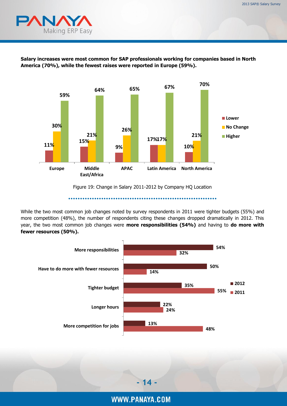



**Salary increases were most common for SAP professionals working for companies based in North America (70%), while the fewest raises were reported in Europe (59%).**

Figure 19: Change in Salary 2011-2012 by Company HQ Location

………………………………………………………

While the two most common job changes noted by survey respondents in 2011 were tighter budgets (55%) and more competition (48%), the number of respondents citing these changes dropped dramatically in 2012. This year, the two most common job changes were **more responsibilities (54%)** and having to **do more with fewer resources (50%).**

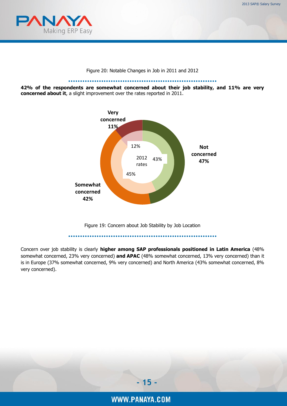

Figure 20: Notable Changes in Job in 2011 and 2012

……………………………………………………… **42% of the respondents are somewhat concerned about their job stability, and 11% are very concerned about it**, a slight improvement over the rates reported in 2011.



Figure 19: Concern about Job Stability by Job Location

………………………………………………………

<span id="page-15-0"></span>Concern over job stability is clearly **higher among SAP professionals positioned in Latin America** (48% somewhat concerned, 23% very concerned) **and APAC** (48% somewhat concerned, 13% very concerned) than it is in Europe (37% somewhat concerned, 9% very concerned) and North America (43% somewhat concerned, 8% very concerned).

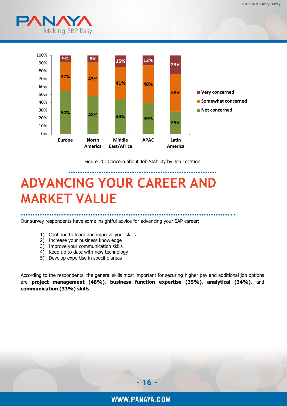

<span id="page-16-0"></span>

Figure 20: Concern about Job Stability by Job Location

### <span id="page-16-1"></span>……………………………………………………… **ADVANCING YOUR CAREER AND MARKET VALUE**

……………….……………………………………………………………..

Our survey respondents have some insightful advice for advancing your SAP career:

- 1) Continue to learn and improve your skills
- 2) Increase your business knowledge
- 3) Improve your communication skills
- 4) Keep up to date with new technology
- 5) Develop expertise in specific areas

According to the respondents, the general skills most important for securing higher pay and additional job options are **project management (48%), business function expertise (35%), analytical (34%),** and **communication (33%) skills**.

**- 16 -**

WWW.PANAYA.COM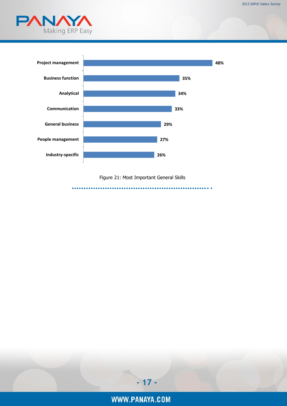



Figure 21: Most Important General Skills

<span id="page-17-0"></span>…………………………………………………..

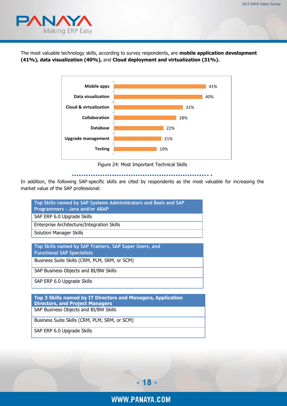

The most valuable technology skills, according to survey respondents, are **mobile application development (41%), data visualization (40%),** and **Cloud deployment and virtualization (31%).**



Figure 24: Most Important Technical Skills

#### …………………………………………………………………

In addition, the following SAP-specific skills are cited by respondents as the most valuable for increasing the market value of the SAP professional:

| Top Skills named by SAP Systems Administrators and Basis and SAP |
|------------------------------------------------------------------|
| Programmers - Java and/or ABAP                                   |
| SAP ERP 6.0 Upgrade Skills                                       |
| Enterprise Architecture/Integration Skills                       |
| <b>Solution Manager Skills</b>                                   |

**Top Skills named by SAP Trainers, SAP Super Users, and Functional SAP Specialists**

Business Suite Skills (CRM, PLM, SRM, or SCM)

SAP Business Objects and BI/BW Skills

SAP ERP 6.0 Upgrade Skills

**Top 3 Skills named by IT Directors and Managers, Application Directors, and Project Managers** SAP Business Objects and BI/BW Skills

Business Suite Skills (CRM, PLM, SRM, or SCM)

SAP ERP 6.0 Upgrade Skills

**- 18 -**

WWW.PANAYA.COM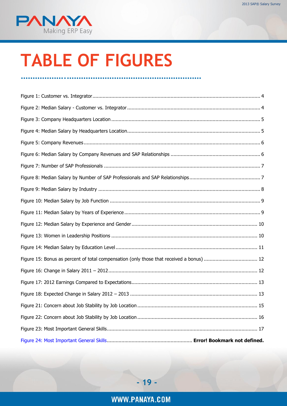

# **TABLE OF FIGURES**

……………….…………………………………………………

| Figure 15: Bonus as percent of total compensation (only those that received a bonus)  12 |
|------------------------------------------------------------------------------------------|
|                                                                                          |
|                                                                                          |
|                                                                                          |
|                                                                                          |
|                                                                                          |
|                                                                                          |
|                                                                                          |

WWW.PANAYA.COM

**- 19 -**